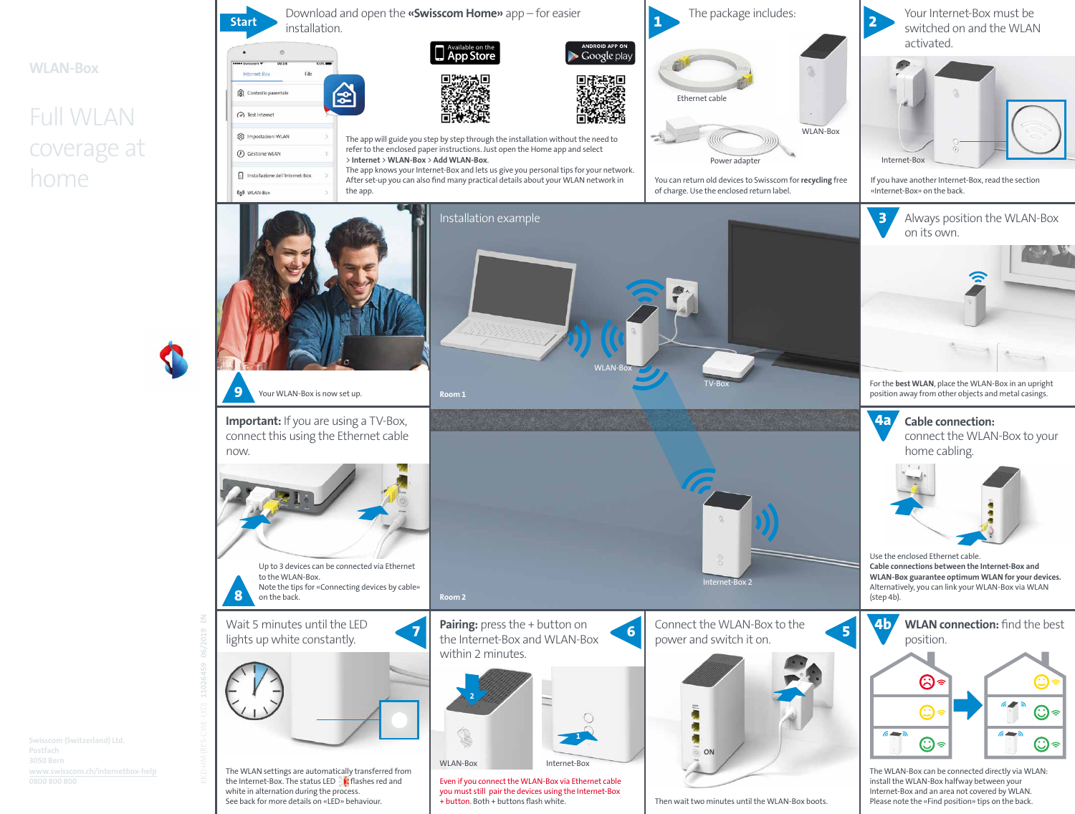

**Postfach www.swisscom.ch/internetbox-help**